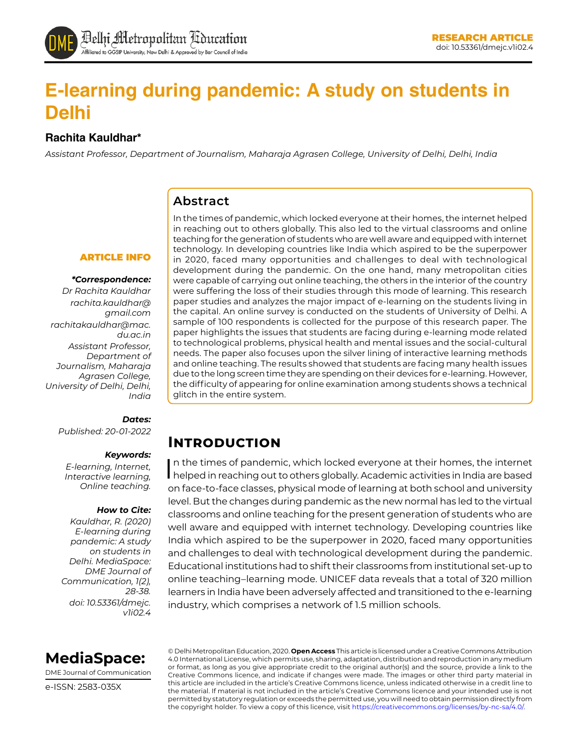

# **E-learning during pandemic: A study on students in Delhi**

### **Rachita Kauldhar\***

*Assistant Professor, Department of Journalism, Maharaja Agrasen College, University of Delhi, Delhi, India*

### **Abstract**

#### ARTICLE INFO

#### *\*Correspondence:*

*Dr Rachita Kauldhar [rachita.kauldhar@](mailto:rachita.kauldhar@gmail.com) [gmail.com](mailto:rachita.kauldhar@gmail.com) [rachitakauldhar@mac.](mailto:rachitakauldhar@mac.du.ac.in) [du.ac.in](mailto:rachitakauldhar@mac.du.ac.in) Assistant Professor, Department of Journalism, Maharaja Agrasen College, University of Delhi, Delhi, India*

### *Dates:*

*Published: 20-01-2022*

#### *Keywords:*

*E-learning, Internet, Interactive learning, Online teaching.*

#### *How to Cite:*

*Kauldhar, R. (2020) E-learning during pandemic: A study on students in Delhi. MediaSpace: DME Journal of Communication, 1(2), 28-38. doi: 10.53361/dmejc. v1i02.4*

In the times of pandemic, which locked everyone at their homes, the internet helped in reaching out to others globally. This also led to the virtual classrooms and online teaching for the generation of students who are well aware and equipped with internet technology. In developing countries like India which aspired to be the superpower in 2020, faced many opportunities and challenges to deal with technological development during the pandemic. On the one hand, many metropolitan cities were capable of carrying out online teaching, the others in the interior of the country were suffering the loss of their studies through this mode of learning. This research paper studies and analyzes the major impact of e-learning on the students living in the capital. An online survey is conducted on the students of University of Delhi. A sample of 100 respondents is collected for the purpose of this research paper. The paper highlights the issues that students are facing during e-learning mode related to technological problems, physical health and mental issues and the social-cultural needs. The paper also focuses upon the silver lining of interactive learning methods and online teaching. The results showed that students are facing many health issues due to the long screen time they are spending on their devices for e-learning. However, the difficulty of appearing for online examination among students shows a technical glitch in the entire system.

### **Introduction**

In the times of pandemic, which locked everyone at their homes, the internet<br>helped in reaching out to others globally. Academic activities in India are based n the times of pandemic, which locked everyone at their homes, the internet on face-to-face classes, physical mode of learning at both school and university level. But the changes during pandemic as the new normal has led to the virtual classrooms and online teaching for the present generation of students who are well aware and equipped with internet technology. Developing countries like India which aspired to be the superpower in 2020, faced many opportunities and challenges to deal with technological development during the pandemic. Educational institutions had to shift their classrooms from institutional set-up to online teaching–learning mode. UNICEF data reveals that a total of [320 million](https://en.unesco.org/news/promoting-digital-education-equity)  [learners](https://en.unesco.org/news/promoting-digital-education-equity) in India have been adversely affected and transitioned to the e-learning industry, which comprises [a network of 1.5 million schools](http://www.businessworld.in/article/E-Learning-Is-Transforming-The-Face-Of-Education-In-India/01-12-2018-164717/).



DME Journal of Communication

e-ISSN: 2583-035X

© Delhi Metropolitan Education, 2020. **Open Access** This article is licensed under a Creative Commons Attribution 4.0 International License, which permits use, sharing, adaptation, distribution and reproduction in any medium or format, as long as you give appropriate credit to the original author(s) and the source, provide a link to the Creative Commons licence, and indicate if changes were made. The images or other third party material in this article are included in the article's Creative Commons licence, unless indicated otherwise in a credit line to the material. If material is not included in the article's Creative Commons licence and your intended use is not permitted by statutory regulation or exceeds the permitted use, you will need to obtain permission directly from the copyright holder. To view a copy of this licence, visit https://creativecommons.org/licenses/by-nc-sa/4.0/.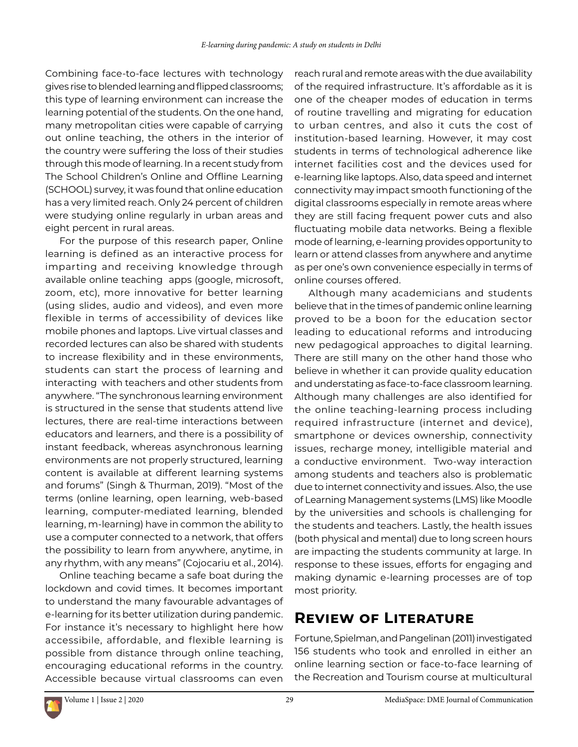Combining face-to-face lectures with technology gives rise to blended learning and flipped classrooms; this type of learning environment can increase the learning potential of the students. On the one hand, many metropolitan cities were capable of carrying out online teaching, the others in the interior of the country were suffering the loss of their studies through this mode of learning. In a recent study from The School Children's Online and Offline Learning (SCHOOL) survey, it was found that online education has a very limited reach. Only 24 percent of children were studying online regularly in urban areas and eight percent in rural areas.

For the purpose of this research paper, Online learning is defined as an interactive process for imparting and receiving knowledge through available online teaching apps (google, microsoft, zoom, etc), more innovative for better learning (using slides, audio and videos), and even more flexible in terms of accessibility of devices like mobile phones and laptops. Live virtual classes and recorded lectures can also be shared with students to increase flexibility and in these environments, students can start the process of learning and interacting with teachers and other students from anywhere. "The synchronous learning environment is structured in the sense that students attend live lectures, there are real-time interactions between educators and learners, and there is a possibility of instant feedback, whereas asynchronous learning environments are not properly structured, learning content is available at different learning systems and forums" (Singh & Thurman, 2019). "Most of the terms (online learning, open learning, web-based learning, computer-mediated learning, blended learning, m-learning) have in common the ability to use a computer connected to a network, that offers the possibility to learn from anywhere, anytime, in any rhythm, with any means" (Cojocariu et al., 2014).

Online teaching became a safe boat during the lockdown and covid times. It becomes important to understand the many favourable advantages of e-learning for its better utilization during pandemic. For instance it's necessary to highlight here how accessibile, affordable, and flexible learning is possible from distance through online teaching, encouraging educational reforms in the country. Accessible because virtual classrooms can even

reach rural and remote areas with the due availability of the required infrastructure. It's affordable as it is one of the cheaper modes of education in terms of routine travelling and migrating for education to urban centres, and also it cuts the cost of institution-based learning. However, it may cost students in terms of technological adherence like internet facilities cost and the devices used for e-learning like laptops. Also, data speed and internet connectivity may impact smooth functioning of the digital classrooms especially in remote areas where they are still facing frequent power cuts and also fluctuating mobile data networks. Being a flexible mode of learning, e-learning provides opportunity to learn or attend classes from anywhere and anytime as per one's own convenience especially in terms of online courses offered.

Although many academicians and students believe that in the times of pandemic online learning proved to be a boon for the education sector leading to educational reforms and introducing new pedagogical approaches to digital learning. There are still many on the other hand those who believe in whether it can provide quality education and understating as face-to-face classroom learning. Although many challenges are also identified for the online teaching-learning process including required infrastructure (internet and device), smartphone or devices ownership, connectivity issues, recharge money, intelligible material and a conductive environment. Two-way interaction among students and teachers also is problematic due to internet connectivity and issues. Also, the use of Learning Management systems (LMS) like Moodle by the universities and schools is challenging for the students and teachers. Lastly, the health issues (both physical and mental) due to long screen hours are impacting the students community at large. In response to these issues, efforts for engaging and making dynamic e-learning processes are of top most priority.

# **Review of Literature**

Fortune, Spielman, and Pangelinan (2011) investigated 156 students who took and enrolled in either an online learning section or face-to-face learning of the Recreation and Tourism course at multicultural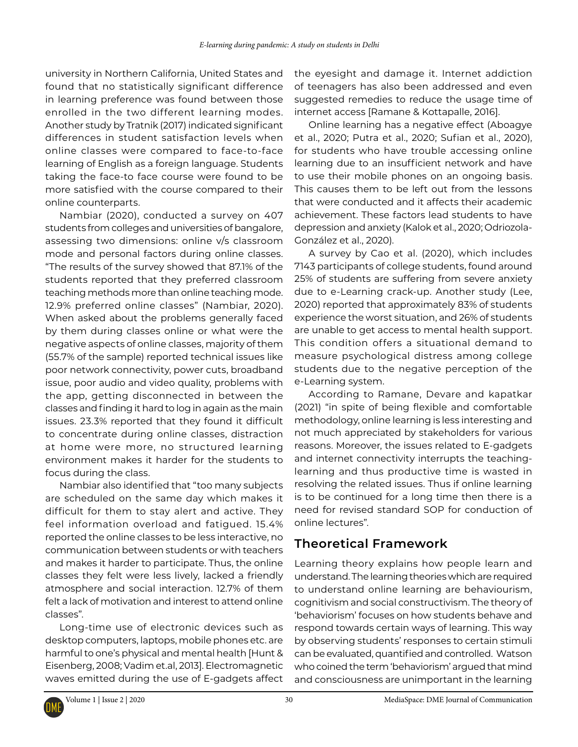university in Northern California, United States and found that no statistically significant difference in learning preference was found between those enrolled in the two different learning modes. Another study by Tratnik (2017) indicated significant differences in student satisfaction levels when online classes were compared to face-to-face learning of English as a foreign language. Students taking the face-to face course were found to be more satisfied with the course compared to their online counterparts.

Nambiar (2020), conducted a survey on 407 students from colleges and universities of bangalore, assessing two dimensions: online v/s classroom mode and personal factors during online classes. "The results of the survey showed that 87.1% of the students reported that they preferred classroom teaching methods more than online teaching mode. 12.9% preferred online classes" (Nambiar, 2020). When asked about the problems generally faced by them during classes online or what were the negative aspects of online classes, majority of them (55.7% of the sample) reported technical issues like poor network connectivity, power cuts, broadband issue, poor audio and video quality, problems with the app, getting disconnected in between the classes and finding it hard to log in again as the main issues. 23.3% reported that they found it difficult to concentrate during online classes, distraction at home were more, no structured learning environment makes it harder for the students to focus during the class.

Nambiar also identified that "too many subjects are scheduled on the same day which makes it difficult for them to stay alert and active. They feel information overload and fatigued. 15.4% reported the online classes to be less interactive, no communication between students or with teachers and makes it harder to participate. Thus, the online classes they felt were less lively, lacked a friendly atmosphere and social interaction. 12.7% of them felt a lack of motivation and interest to attend online classes".

Long-time use of electronic devices such as desktop computers, laptops, mobile phones etc. are harmful to one's physical and mental health [Hunt & Eisenberg, 2008; Vadim et.al, 2013]. Electromagnetic waves emitted during the use of E-gadgets affect the eyesight and damage it. Internet addiction of teenagers has also been addressed and even suggested remedies to reduce the usage time of internet access [Ramane & Kottapalle, 2016].

Online learning has a negative effect (Aboagye et al., 2020; Putra et al., 2020; Sufian et al., 2020), for students who have trouble accessing online learning due to an insufficient network and have to use their mobile phones on an ongoing basis. This causes them to be left out from the lessons that were conducted and it affects their academic achievement. These factors lead students to have depression and anxiety (Kalok et al., 2020; Odriozola-González et al., 2020).

A survey by Cao et al. (2020), which includes 7143 participants of college students, found around 25% of students are suffering from severe anxiety due to e-Learning crack-up. Another study (Lee, 2020) reported that approximately 83% of students experience the worst situation, and 26% of students are unable to get access to mental health support. This condition offers a situational demand to measure psychological distress among college students due to the negative perception of the e-Learning system.

According to Ramane, Devare and kapatkar (2021) "in spite of being flexible and comfortable methodology, online learning is less interesting and not much appreciated by stakeholders for various reasons. Moreover, the issues related to E-gadgets and internet connectivity interrupts the teachinglearning and thus productive time is wasted in resolving the related issues. Thus if online learning is to be continued for a long time then there is a need for revised standard SOP for conduction of online lectures".

## **Theoretical Framework**

Learning theory explains how people learn and understand. The learning theories which are required to understand online learning are behaviourism, cognitivism and social constructivism. The theory of 'behaviorism' focuses on how students behave and respond towards certain ways of learning. This way by observing students' responses to certain stimuli can be evaluated, quantified and controlled. Watson who coined the term 'behaviorism' argued that mind and consciousness are unimportant in the learning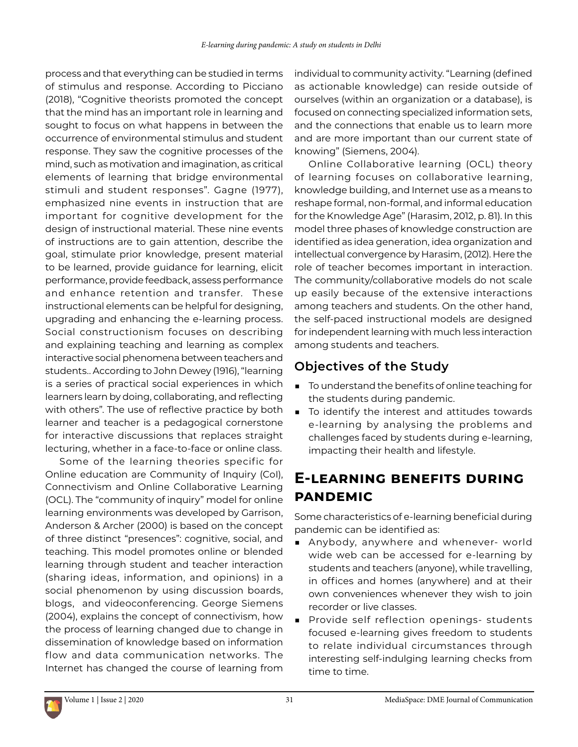process and that everything can be studied in terms of stimulus and response. According to Picciano (2018), "Cognitive theorists promoted the concept that the mind has an important role in learning and sought to focus on what happens in between the occurrence of environmental stimulus and student response. They saw the cognitive processes of the mind, such as motivation and imagination, as critical elements of learning that bridge environmental stimuli and student responses". Gagne (1977), emphasized nine events in instruction that are important for cognitive development for the design of instructional material. These nine events of instructions are to gain attention, describe the goal, stimulate prior knowledge, present material to be learned, provide guidance for learning, elicit performance, provide feedback, assess performance and enhance retention and transfer. These instructional elements can be helpful for designing, upgrading and enhancing the e-learning process. Social constructionism focuses on describing and explaining teaching and learning as complex interactive social phenomena between teachers and students.. According to John Dewey (1916), "learning is a series of practical social experiences in which learners learn by doing, collaborating, and reflecting with others". The use of reflective practice by both learner and teacher is a pedagogical cornerstone for interactive discussions that replaces straight lecturing, whether in a face-to-face or online class.

Some of the learning theories specific for Online education are Community of Inquiry (CoI), Connectivism and Online Collaborative Learning (OCL). The "community of inquiry" model for online learning environments was developed by Garrison, Anderson & Archer (2000) is based on the concept of three distinct "presences": cognitive, social, and teaching. This model promotes online or blended learning through student and teacher interaction (sharing ideas, information, and opinions) in a social phenomenon by using discussion boards, blogs, and videoconferencing. George Siemens (2004), explains the concept of connectivism, how the process of learning changed due to change in dissemination of knowledge based on information flow and data communication networks. The Internet has changed the course of learning from

individual to community activity. "Learning (defined as actionable knowledge) can reside outside of ourselves (within an organization or a database), is focused on connecting specialized information sets, and the connections that enable us to learn more and are more important than our current state of knowing" (Siemens, 2004).

Online Collaborative learning (OCL) theory of learning focuses on collaborative learning, knowledge building, and Internet use as a means to reshape formal, non-formal, and informal education for the Knowledge Age" (Harasim, 2012, p. 81). In this model three phases of knowledge construction are identified as idea generation, idea organization and intellectual convergence by Harasim, (2012). Here the role of teacher becomes important in interaction. The community/collaborative models do not scale up easily because of the extensive interactions among teachers and students. On the other hand, the self-paced instructional models are designed for independent learning with much less interaction among students and teachers.

## **Objectives of the Study**

- To understand the benefits of online teaching for the students during pandemic.
- To identify the interest and attitudes towards e-learning by analysing the problems and challenges faced by students during e-learning, impacting their health and lifestyle.

# **E-learning benefits during pandemic**

Some characteristics of e-learning beneficial during pandemic can be identified as:

- Anybody, anywhere and whenever- world wide web can be accessed for e-learning by students and teachers (anyone), while travelling, in offices and homes (anywhere) and at their own conveniences whenever they wish to join recorder or live classes.
- Provide self reflection openings- students focused e-learning gives freedom to students to relate individual circumstances through interesting self-indulging learning checks from time to time.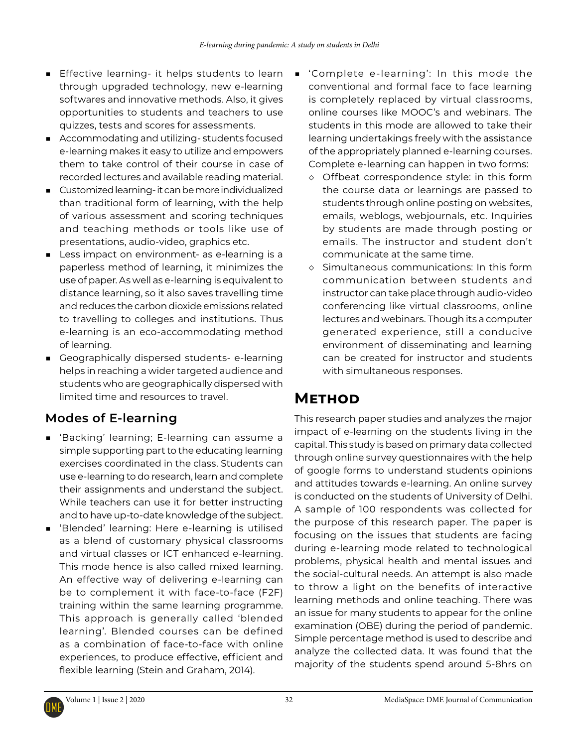- Effective learning- it helps students to learn through upgraded technology, new e-learning softwares and innovative methods. Also, it gives opportunities to students and teachers to use quizzes, tests and scores for assessments.
- Accommodating and utilizing-students focused e-learning makes it easy to utilize and empowers them to take control of their course in case of recorded lectures and available reading material.
- Customized learning-it can be more individualized than traditional form of learning, with the help of various assessment and scoring techniques and teaching methods or tools like use of presentations, audio-video, graphics etc.
- Less impact on environment- as e-learning is a paperless method of learning, it minimizes the use of paper. As well as e-learning is equivalent to distance learning, so it also saves travelling time and reduces the carbon dioxide emissions related to travelling to colleges and institutions. Thus e-learning is an eco-accommodating method of learning.
- Geographically dispersed students- e-learning helps in reaching a wider targeted audience and students who are geographically dispersed with limited time and resources to travel.

## **Modes of E-learning**

- 'Backing' learning; E-learning can assume a simple supporting part to the educating learning exercises coordinated in the class. Students can use e-learning to do research, learn and complete their assignments and understand the subject. While teachers can use it for better instructing and to have up-to-date knowledge of the subject.
- 'Blended' learning: Here e-learning is utilised as a blend of customary physical classrooms and virtual classes or ICT enhanced e-learning. This mode hence is also called mixed learning. An effective way of delivering e-learning can be to complement it with face-to-face (F2F) training within the same learning programme. This approach is generally called 'blended learning'. Blended courses can be defined as a combination of face-to-face with online experiences, to produce effective, efficient and flexible learning (Stein and Graham, 2014).
- 'Complete e-learning': In this mode the conventional and formal face to face learning is completely replaced by virtual classrooms, online courses like MOOC's and webinars. The students in this mode are allowed to take their learning undertakings freely with the assistance of the appropriately planned e-learning courses. Complete e-learning can happen in two forms:
	- ◇ Offbeat correspondence style: in this form the course data or learnings are passed to students through online posting on websites, emails, weblogs, webjournals, etc. Inquiries by students are made through posting or emails. The instructor and student don't communicate at the same time.
	- ◇ Simultaneous communications: In this form communication between students and instructor can take place through audio-video conferencing like virtual classrooms, online lectures and webinars. Though its a computer generated experience, still a conducive environment of disseminating and learning can be created for instructor and students with simultaneous responses.

# **Method**

This research paper studies and analyzes the major impact of e-learning on the students living in the capital. This study is based on primary data collected through online survey questionnaires with the help of google forms to understand students opinions and attitudes towards e-learning. An online survey is conducted on the students of University of Delhi. A sample of 100 respondents was collected for the purpose of this research paper. The paper is focusing on the issues that students are facing during e-learning mode related to technological problems, physical health and mental issues and the social-cultural needs. An attempt is also made to throw a light on the benefits of interactive learning methods and online teaching. There was an issue for many students to appear for the online examination (OBE) during the period of pandemic. Simple percentage method is used to describe and analyze the collected data. It was found that the majority of the students spend around 5-8hrs on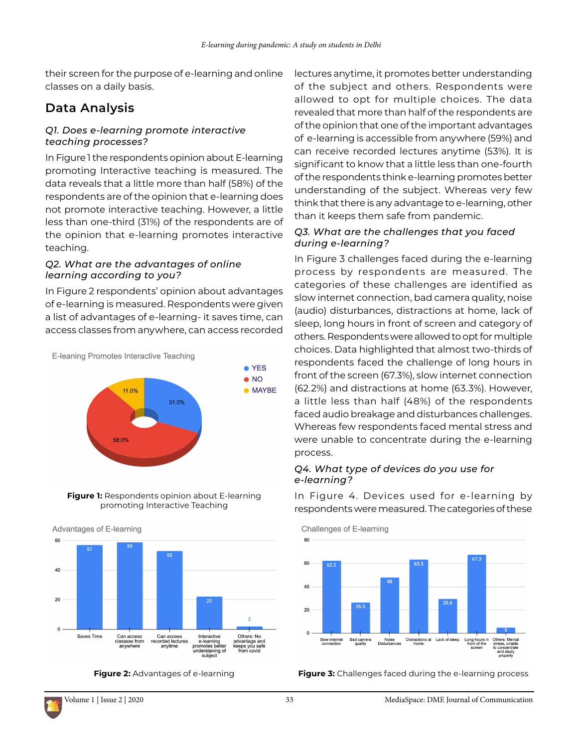their screen for the purpose of e-learning and online classes on a daily basis.

### **Data Analysis**

### *Q1. Does e-learning promote interactive teaching processes?*

In Figure 1 the respondents opinion about E-learning promoting Interactive teaching is measured. The data reveals that a little more than half (58%) of the respondents are of the opinion that e-learning does not promote interactive teaching. However, a little less than one-third (31%) of the respondents are of the opinion that e-learning promotes interactive teaching.

### *Q2. What are the advantages of online learning according to you?*

In Figure 2 respondents' opinion about advantages of e-learning is measured. Respondents were given a list of advantages of e-learning- it saves time, can access classes from anywhere, can access recorded



**Figure 1:** Respondents opinion about E-learning promoting Interactive Teaching

Advantages of E-learning



**Figure 2:** Advantages of e-learning

lectures anytime, it promotes better understanding of the subject and others. Respondents were allowed to opt for multiple choices. The data revealed that more than half of the respondents are of the opinion that one of the important advantages of e-learning is accessible from anywhere (59%) and can receive recorded lectures anytime (53%). It is significant to know that a little less than one-fourth of the respondents think e-learning promotes better understanding of the subject. Whereas very few think that there is any advantage to e-learning, other than it keeps them safe from pandemic.

### *Q3. What are the challenges that you faced during e-learning?*

In Figure 3 challenges faced during the e-learning process by respondents are measured. The categories of these challenges are identified as slow internet connection, bad camera quality, noise (audio) disturbances, distractions at home, lack of sleep, long hours in front of screen and category of others. Respondents were allowed to opt for multiple choices. Data highlighted that almost two-thirds of respondents faced the challenge of long hours in front of the screen (67.3%), slow internet connection (62.2%) and distractions at home (63.3%). However, a little less than half (48%) of the respondents faced audio breakage and disturbances challenges. Whereas few respondents faced mental stress and were unable to concentrate during the e-learning process.

### *Q4. What type of devices do you use for e-learning?*

In Figure 4. Devices used for e-learning by respondents were measured. The categories of these

Challenges of E-learning



**Figure 3:** Challenges faced during the e-learning process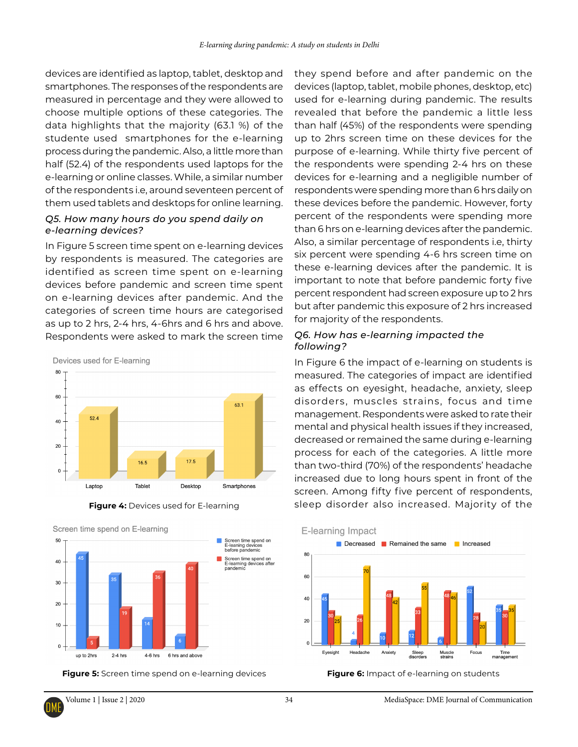devices are identified as laptop, tablet, desktop and smartphones. The responses of the respondents are measured in percentage and they were allowed to choose multiple options of these categories. The data highlights that the majority (63.1 %) of the studente used smartphones for the e-learning process during the pandemic. Also, a little more than half (52.4) of the respondents used laptops for the e-learning or online classes. While, a similar number of the respondents i.e, around seventeen percent of them used tablets and desktops for online learning.

### *Q5. How many hours do you spend daily on e-learning devices?*

In Figure 5 screen time spent on e-learning devices by respondents is measured. The categories are identified as screen time spent on e-learning devices before pandemic and screen time spent on e-learning devices after pandemic. And the categories of screen time hours are categorised as up to 2 hrs, 2-4 hrs, 4-6hrs and 6 hrs and above. Respondents were asked to mark the screen time

Devices used for E-learning



**Figure 4:** Devices used for E-learning



**Figure 5:** Screen time spend on e-learning devices **Figure 6:** Impact of e-learning on students

they spend before and after pandemic on the devices (laptop, tablet, mobile phones, desktop, etc) used for e-learning during pandemic. The results revealed that before the pandemic a little less than half (45%) of the respondents were spending up to 2hrs screen time on these devices for the purpose of e-learning. While thirty five percent of the respondents were spending 2-4 hrs on these devices for e-learning and a negligible number of respondents were spending more than 6 hrs daily on these devices before the pandemic. However, forty percent of the respondents were spending more than 6 hrs on e-learning devices after the pandemic. Also, a similar percentage of respondents i.e, thirty six percent were spending 4-6 hrs screen time on these e-learning devices after the pandemic. It is important to note that before pandemic forty five percent respondent had screen exposure up to 2 hrs but after pandemic this exposure of 2 hrs increased for majority of the respondents.

### *Q6. How has e-learning impacted the following?*

In Figure 6 the impact of e-learning on students is measured. The categories of impact are identified as effects on eyesight, headache, anxiety, sleep disorders, muscles strains, focus and time management. Respondents were asked to rate their mental and physical health issues if they increased, decreased or remained the same during e-learning process for each of the categories. A little more than two-third (70%) of the respondents' headache increased due to long hours spent in front of the screen. Among fifty five percent of respondents, sleep disorder also increased. Majority of the

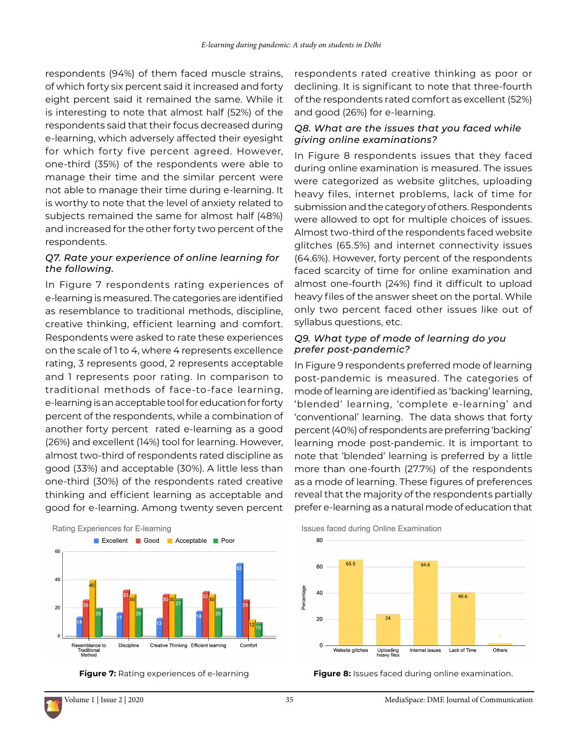respondents (94%) of them faced muscle strains, of which forty six percent said it increased and forty eight percent said it remained the same. While it is interesting to note that almost half (52%) of the respondents said that their focus decreased during e-learning, which adversely affected their eyesight for which forty five percent agreed. However, one-third (35%) of the respondents were able to manage their time and the similar percent were not able to manage their time during e-learning. It is worthy to note that the level of anxiety related to subjects remained the same for almost half (48%) and increased for the other forty two percent of the respondents.

### *Q7. Rate your experience of online learning for the following.*

In Figure 7 respondents rating experiences of e-learning is measured. The categories are identified as resemblance to traditional methods, discipline, creative thinking, efficient learning and comfort. Respondents were asked to rate these experiences on the scale of 1 to 4, where 4 represents excellence rating, 3 represents good, 2 represents acceptable and 1 represents poor rating. In comparison to traditional methods of face-to-face learning, e-learning is an acceptable tool for education for forty percent of the respondents, while a combination of another forty percent rated e-learning as a good (26%) and excellent (14%) tool for learning. However, almost two-third of respondents rated discipline as good (33%) and acceptable (30%). A little less than one-third (30%) of the respondents rated creative thinking and efficient learning as acceptable and good for e-learning. Among twenty seven percent





respondents rated creative thinking as poor or declining. It is significant to note that three-fourth of the respondents rated comfort as excellent (52%) and good (26%) for e-learning.

### *Q8. What are the issues that you faced while giving online examinations?*

In Figure 8 respondents issues that they faced during online examination is measured. The issues were categorized as website glitches, uploading heavy files, internet problems, lack of time for submission and the category of others. Respondents were allowed to opt for multiple choices of issues. Almost two-third of the respondents faced website glitches (65.5%) and internet connectivity issues (64.6%). However, forty percent of the respondents faced scarcity of time for online examination and almost one-fourth (24%) find it difficult to upload heavy files of the answer sheet on the portal. While only two percent faced other issues like out of syllabus questions, etc.

### *Q9. What type of mode of learning do you prefer post-pandemic?*

In Figure 9 respondents preferred mode of learning post-pandemic is measured. The categories of mode of learning are identified as 'backing' learning, 'blended' learning, 'complete e-learning' and 'conventional' learning. The data shows that forty percent (40%) of respondents are preferring 'backing' learning mode post-pandemic. It is important to note that 'blended' learning is preferred by a little more than one-fourth (27.7%) of the respondents as a mode of learning. These figures of preferences reveal that the majority of the respondents partially prefer e-learning as a natural mode of education that





**Figure 7:** Rating experiences of e-learning **Figure 8:** Issues faced during online examination.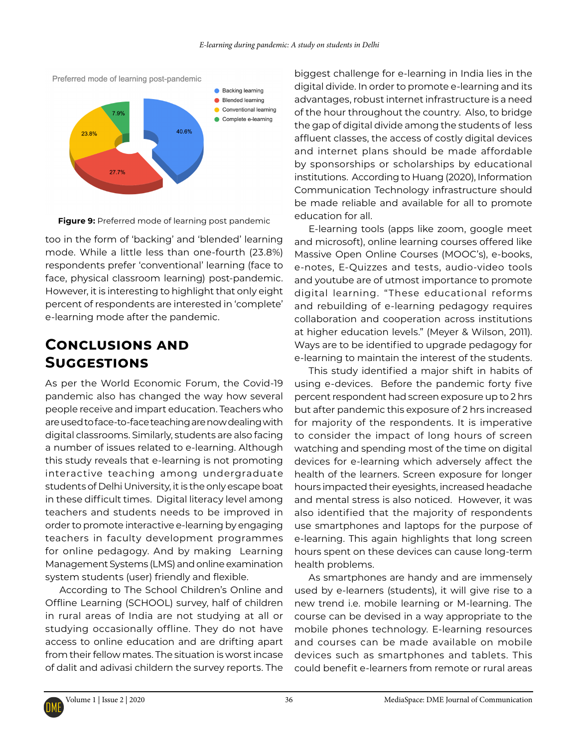

**Figure 9:** Preferred mode of learning post pandemic

too in the form of 'backing' and 'blended' learning mode. While a little less than one-fourth (23.8%) respondents prefer 'conventional' learning (face to face, physical classroom learning) post-pandemic. However, it is interesting to highlight that only eight percent of respondents are interested in 'complete' e-learning mode after the pandemic.

## **Conclusions and Suggestions**

As per the World Economic Forum, the Covid-19 pandemic also has changed the way how several people receive and impart education. Teachers who are used to face-to-face teaching are now dealing with digital classrooms. Similarly, students are also facing a number of issues related to e-learning. Although this study reveals that e-learning is not promoting interactive teaching among undergraduate students of Delhi University, it is the only escape boat in these difficult times. Digital literacy level among teachers and students needs to be improved in order to promote interactive e-learning by engaging teachers in faculty development programmes for online pedagogy. And by making Learning Management Systems (LMS) and online examination system students (user) friendly and flexible.

According to The School Children's Online and Offline Learning (SCHOOL) survey, half of children in rural areas of India are not studying at all or studying occasionally offline. They do not have access to online education and are drifting apart from their fellow mates. The situation is worst incase of dalit and adivasi childern the survey reports. The biggest challenge for e-learning in India lies in the digital divide. In order to promote e-learning and its advantages, robust internet infrastructure is a need of the hour throughout the country. Also, to bridge the gap of digital divide among the students of less affluent classes, the access of costly digital devices and internet plans should be made affordable by sponsorships or scholarships by educational institutions. According to Huang (2020), Information Communication Technology infrastructure should be made reliable and available for all to promote education for all.

E-learning tools (apps like zoom, google meet and microsoft), online learning courses offered like Massive Open Online Courses (MOOC's), e-books, e-notes, E-Quizzes and tests, audio-video tools and youtube are of utmost importance to promote digital learning. "These educational reforms and rebuilding of e-learning pedagogy requires collaboration and cooperation across institutions at higher education levels." (Meyer & Wilson, 2011). Ways are to be identified to upgrade pedagogy for e-learning to maintain the interest of the students.

This study identified a major shift in habits of using e-devices. Before the pandemic forty five percent respondent had screen exposure up to 2 hrs but after pandemic this exposure of 2 hrs increased for majority of the respondents. It is imperative to consider the impact of long hours of screen watching and spending most of the time on digital devices for e-learning which adversely affect the health of the learners. Screen exposure for longer hours impacted their eyesights, increased headache and mental stress is also noticed. However, it was also identified that the majority of respondents use smartphones and laptops for the purpose of e-learning. This again highlights that long screen hours spent on these devices can cause long-term health problems.

As smartphones are handy and are immensely used by e-learners (students), it will give rise to a new trend i.e. mobile learning or M-learning. The course can be devised in a way appropriate to the mobile phones technology. E-learning resources and courses can be made available on mobile devices such as smartphones and tablets. This could benefit e-learners from remote or rural areas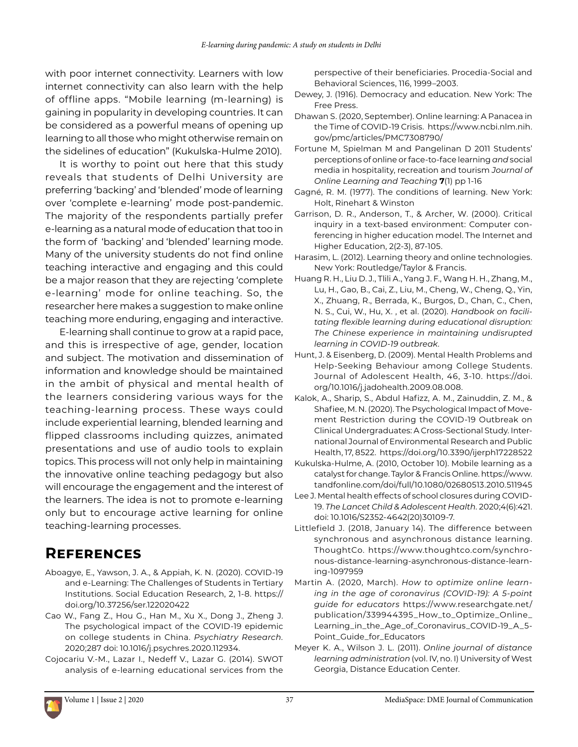with poor internet connectivity. Learners with low internet connectivity can also learn with the help of offline apps. "Mobile learning (m-learning) is gaining in popularity in developing countries. It can be considered as a powerful means of opening up learning to all those who might otherwise remain on the sidelines of education" (Kukulska-Hulme 2010).

It is worthy to point out here that this study reveals that students of Delhi University are preferring 'backing' and 'blended' mode of learning over 'complete e-learning' mode post-pandemic. The majority of the respondents partially prefer e-learning as a natural mode of education that too in the form of 'backing' and 'blended' learning mode. Many of the university students do not find online teaching interactive and engaging and this could be a major reason that they are rejecting 'complete e-learning' mode for online teaching. So, the researcher here makes a suggestion to make online teaching more enduring, engaging and interactive.

E-learning shall continue to grow at a rapid pace, and this is irrespective of age, gender, location and subject. The motivation and dissemination of information and knowledge should be maintained in the ambit of physical and mental health of the learners considering various ways for the teaching-learning process. These ways could include experiential learning, blended learning and flipped classrooms including quizzes, animated presentations and use of audio tools to explain topics. This process will not only help in maintaining the innovative online teaching pedagogy but also will encourage the engagement and the interest of the learners. The idea is not to promote e-learning only but to encourage active learning for online teaching-learning processes.

# **References**

- Aboagye, E., Yawson, J. A., & Appiah, K. N. (2020). COVID-19 and e-Learning: The Challenges of Students in Tertiary Institutions. Social Education Research, 2, 1-8. [https://](https://doi.org/10.37256/ser.122020422) [doi.org/10.37256/ser.122020422](https://doi.org/10.37256/ser.122020422)
- Cao W., Fang Z., Hou G., Han M., Xu X., Dong J., Zheng J. The psychological impact of the COVID-19 epidemic on college students in China. *Psychiatry Research.*  2020;287 doi: 10.1016/j.psychres.2020.112934.
- Cojocariu V.-M., Lazar I., Nedeff V., Lazar G. (2014). SWOT analysis of e-learning educational services from the

perspective of their beneficiaries. Procedia-Social and Behavioral Sciences, 116, 1999–2003.

- Dewey, J. (1916). Democracy and education. New York: The Free Press.
- Dhawan S. (2020, September). Online learning: A Panacea in the Time of COVID-19 Crisis. [https://www.ncbi.nlm.nih.](https://www.ncbi.nlm.nih.gov/pmc/articles/PMC7308790/) [gov/pmc/articles/PMC7308790/](https://www.ncbi.nlm.nih.gov/pmc/articles/PMC7308790/)
- Fortune M, Spielman M and Pangelinan D 2011 Students' perceptions of online or face-to-face learning *and* social media in hospitality, recreation and tourism *Journal of Online Learning and Teaching* **7**(1) pp 1-16
- Gagné, R. M. (1977). The conditions of learning. New York: Holt, Rinehart & Winston
- Garrison, D. R., Anderson, T., & Archer, W. (2000). Critical inquiry in a text-based environment: Computer conferencing in higher education model. The Internet and Higher Education, 2(2-3), 87-105.
- Harasim, L. (2012). Learning theory and online technologies. New York: Routledge/Taylor & Francis.
- Huang R. H., Liu D. J., Tlili A., Yang J. F., Wang H. H., Zhang, M., Lu, H., Gao, B., Cai, Z., Liu, M., Cheng, W., Cheng, Q., Yin, X., Zhuang, R., Berrada, K., Burgos, D., Chan, C., Chen, N. S., Cui, W., Hu, X. , et al. (2020). *Handbook on facilitating flexible learning during educational disruption: The Chinese experience in maintaining undisrupted learning in COVID-19 outbreak*.
- Hunt, J. & Eisenberg, D. (2009). Mental Health Problems and Help-Seeking Behaviour among College Students. Journal of Adolescent Health, 46, 3-10. https://doi. org/10.1016/j.jadohealth.2009.08.008.
- Kalok, A., Sharip, S., Abdul Hafizz, A. M., Zainuddin, Z. M., & Shafiee, M. N. (2020). The Psychological Impact of Movement Restriction during the COVID-19 Outbreak on Clinical Undergraduates: A Cross-Sectional Study. International Journal of Environmental Research and Public Health, 17, 8522. <https://doi.org/10.3390/ijerph17228522>
- Kukulska-Hulme, A. (2010, October 10). Mobile learning as a catalyst for change. Taylor & Francis Online. [https://www.](https://www.tandfonline.com/doi/full/10.1080/02680513.2010.511945) [tandfonline.com/doi/full/10.1080/02680513.2010.511945](https://www.tandfonline.com/doi/full/10.1080/02680513.2010.511945)
- Lee J. Mental health effects of school closures during COVID-19. *The Lancet Child & Adolescent Health.* 2020;4(6):421. doi: 10.1016/S2352-4642(20)30109-7.
- Littlefield J. (2018, January 14). The difference between synchronous and asynchronous distance learning. ThoughtCo. [https://www.thoughtco.com/synchro](https://www.thoughtco.com/synchronous-distance-learning-asynchronous-distance-learning-1097959)[nous-distance-learning-asynchronous-distance-learn](https://www.thoughtco.com/synchronous-distance-learning-asynchronous-distance-learning-1097959)[ing-1097959](https://www.thoughtco.com/synchronous-distance-learning-asynchronous-distance-learning-1097959)
- Martin A. (2020, March). *How to optimize online learning in the age of coronavirus (COVID-19): A 5-point guide for educators* [https://www.researchgate.net/](https://www.researchgate.net/publication/339944395_How_to_Optimize_Online_Learning_in_the_Age_of_Coronavirus_COVID-19_A_5-Point_Guide_for_Educators) [publication/339944395\\_How\\_to\\_Optimize\\_Online\\_](https://www.researchgate.net/publication/339944395_How_to_Optimize_Online_Learning_in_the_Age_of_Coronavirus_COVID-19_A_5-Point_Guide_for_Educators) [Learning\\_in\\_the\\_Age\\_of\\_Coronavirus\\_COVID-19\\_A\\_5-](https://www.researchgate.net/publication/339944395_How_to_Optimize_Online_Learning_in_the_Age_of_Coronavirus_COVID-19_A_5-Point_Guide_for_Educators) [Point\\_Guide\\_for\\_Educators](https://www.researchgate.net/publication/339944395_How_to_Optimize_Online_Learning_in_the_Age_of_Coronavirus_COVID-19_A_5-Point_Guide_for_Educators)
- Meyer K. A., Wilson J. L. (2011). *Online journal of distance learning administration* (vol. IV, no. I) University of West Georgia, Distance Education Center.